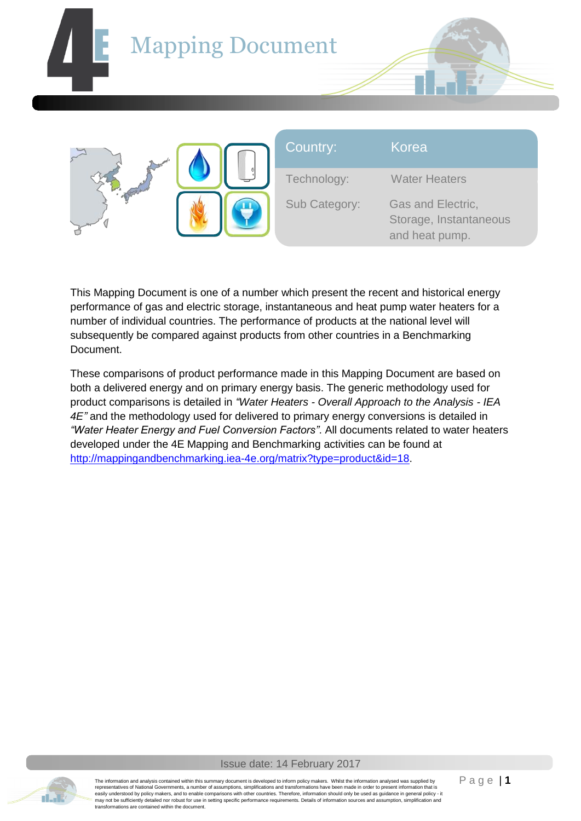



| Country:      | Korea                                                         |  |
|---------------|---------------------------------------------------------------|--|
| Technology:   | Water Heaters                                                 |  |
| Sub Category: | Gas and Electric,<br>Storage, Instantaneous<br>and heat pump. |  |

This Mapping Document is one of a number which present the recent and historical energy performance of gas and electric storage, instantaneous and heat pump water heaters for a number of individual countries. The performance of products at the national level will subsequently be compared against products from other countries in a Benchmarking Document.

These comparisons of product performance made in this Mapping Document are based on both a delivered energy and on primary energy basis. The generic methodology used for product comparisons is detailed in *"Water Heaters - Overall Approach to the Analysis - IEA 4E"* and the methodology used for delivered to primary energy conversions is detailed in *"Water Heater Energy and Fuel Conversion Factors"*. All documents related to water heaters developed under the 4E Mapping and Benchmarking activities can be found at [http://mappingandbenchmarking.iea-4e.org/matrix?type=product&id=18.](http://mappingandbenchmarking.iea-4e.org/matrix?type=product&id=18)

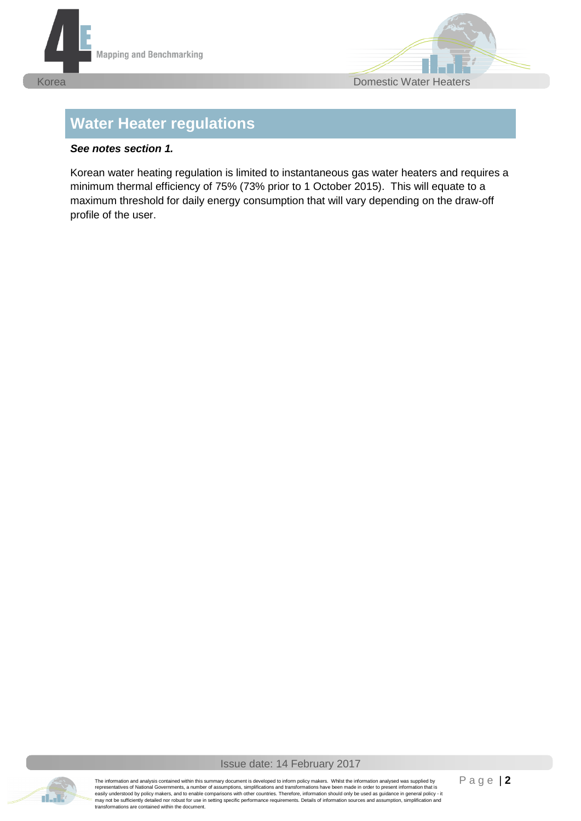



# **Water Heater regulations**

#### *See notes section 1.*

Korean water heating regulation is limited to instantaneous gas water heaters and requires a minimum thermal efficiency of 75% (73% prior to 1 October 2015). This will equate to a maximum threshold for daily energy consumption that will vary depending on the draw-off profile of the user.

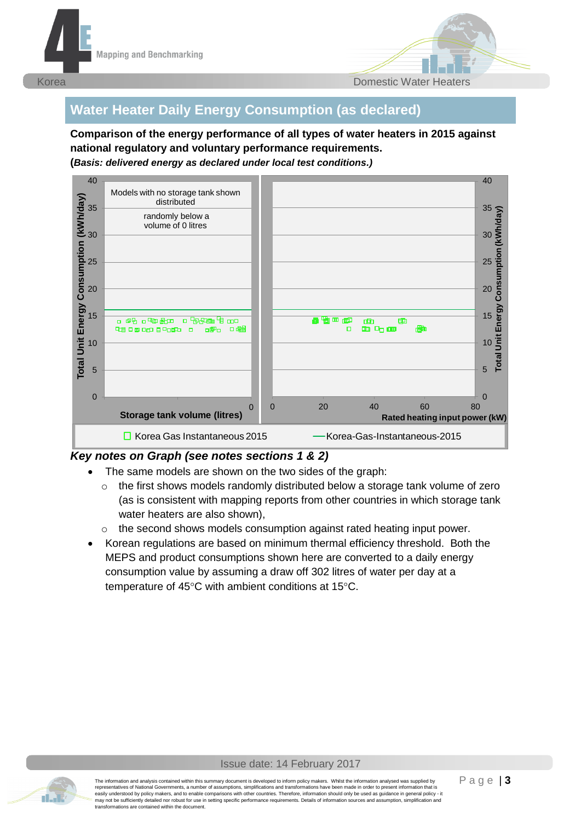![](_page_2_Picture_0.jpeg)

![](_page_2_Picture_1.jpeg)

## **Water Heater Daily Energy Consumption (as declared)**

**Comparison of the energy performance of all types of water heaters in 2015 against national regulatory and voluntary performance requirements. (***Basis: delivered energy as declared under local test conditions.)*

![](_page_2_Figure_4.jpeg)

- The same models are shown on the two sides of the graph:
	- o the first shows models randomly distributed below a storage tank volume of zero (as is consistent with mapping reports from other countries in which storage tank water heaters are also shown),
	- $\circ$  the second shows models consumption against rated heating input power.
- Korean regulations are based on minimum thermal efficiency threshold. Both the MEPS and product consumptions shown here are converted to a daily energy consumption value by assuming a draw off 302 litres of water per day at a temperature of 45 $\degree$ C with ambient conditions at 15 $\degree$ C.

![](_page_2_Picture_10.jpeg)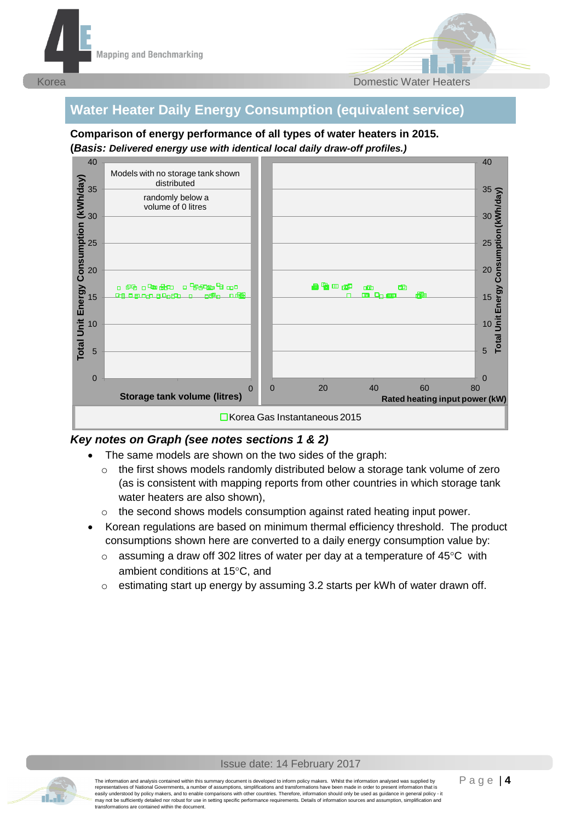![](_page_3_Picture_0.jpeg)

![](_page_3_Picture_1.jpeg)

## **Water Heater Daily Energy Consumption (equivalent service)**

**Comparison of energy performance of all types of water heaters in 2015. (***Basis: Delivered energy use with identical local daily draw-off profiles.)*

![](_page_3_Figure_4.jpeg)

- The same models are shown on the two sides of the graph:
	- $\circ$  the first shows models randomly distributed below a storage tank volume of zero (as is consistent with mapping reports from other countries in which storage tank water heaters are also shown),
	- $\circ$  the second shows models consumption against rated heating input power.
- Korean regulations are based on minimum thermal efficiency threshold. The product consumptions shown here are converted to a daily energy consumption value by:
	- $\circ$  assuming a draw off 302 litres of water per day at a temperature of 45 $\degree$ C with ambient conditions at  $15^{\circ}$ C, and
	- $\circ$  estimating start up energy by assuming 3.2 starts per kWh of water drawn off.

![](_page_3_Picture_12.jpeg)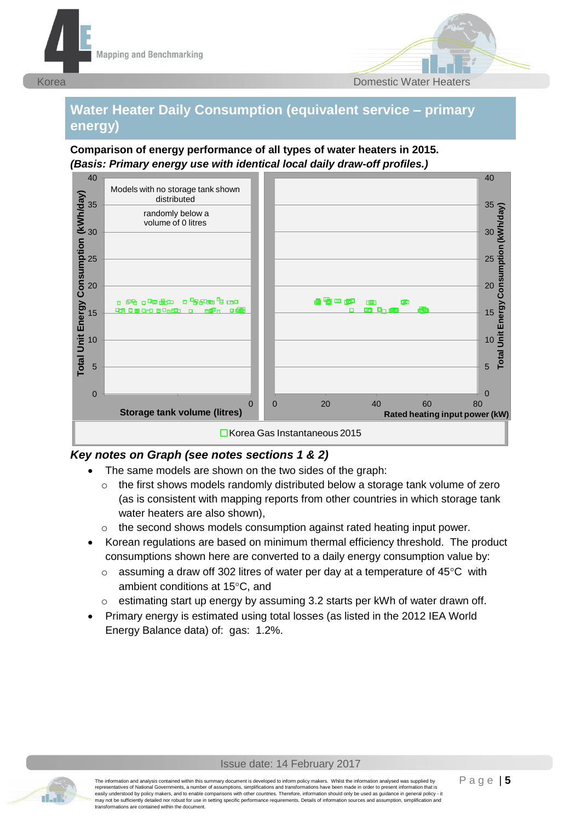![](_page_4_Picture_0.jpeg)

![](_page_4_Picture_1.jpeg)

# **Water Heater Daily Consumption (equivalent service – primary energy)**

**Comparison of energy performance of all types of water heaters in 2015.** *(Basis: Primary energy use with identical local daily draw-off profiles.)*

![](_page_4_Figure_4.jpeg)

- The same models are shown on the two sides of the graph:
	- o the first shows models randomly distributed below a storage tank volume of zero (as is consistent with mapping reports from other countries in which storage tank water heaters are also shown),
	- o the second shows models consumption against rated heating input power.
- Korean regulations are based on minimum thermal efficiency threshold. The product consumptions shown here are converted to a daily energy consumption value by:
	- $\circ$  assuming a draw off 302 litres of water per day at a temperature of 45 $\degree$ C with ambient conditions at 15°C, and
	- o estimating start up energy by assuming 3.2 starts per kWh of water drawn off.
- Primary energy is estimated using total losses (as listed in the 2012 IEA World Energy Balance data) of: gas: 1.2%.

![](_page_4_Picture_13.jpeg)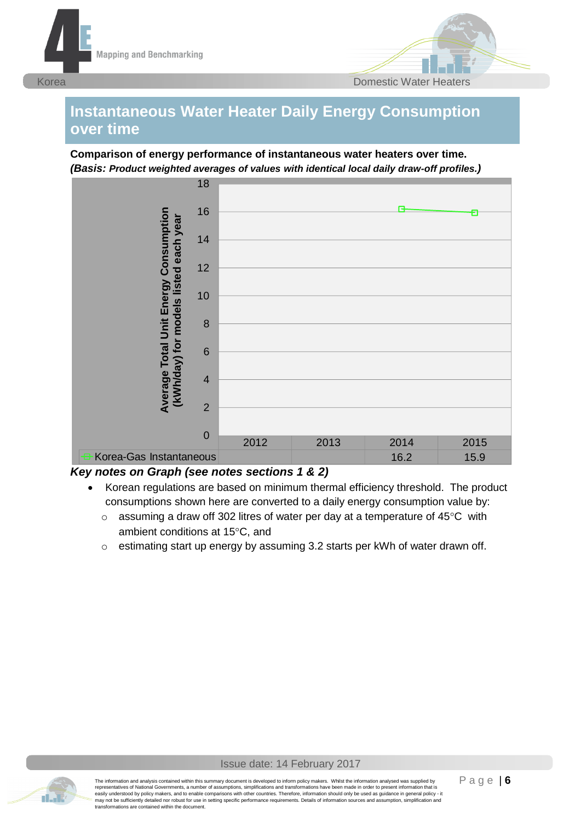![](_page_5_Picture_0.jpeg)

![](_page_5_Picture_1.jpeg)

# **Instantaneous Water Heater Daily Energy Consumption over time**

**Comparison of energy performance of instantaneous water heaters over time.** *(Basis: Product weighted averages of values with identical local daily draw-off profiles.)*

![](_page_5_Figure_4.jpeg)

- Korean regulations are based on minimum thermal efficiency threshold. The product consumptions shown here are converted to a daily energy consumption value by:
	- $\circ$  assuming a draw off 302 litres of water per day at a temperature of 45 $\degree$ C with ambient conditions at 15°C, and
	- o estimating start up energy by assuming 3.2 starts per kWh of water drawn off.

![](_page_5_Picture_9.jpeg)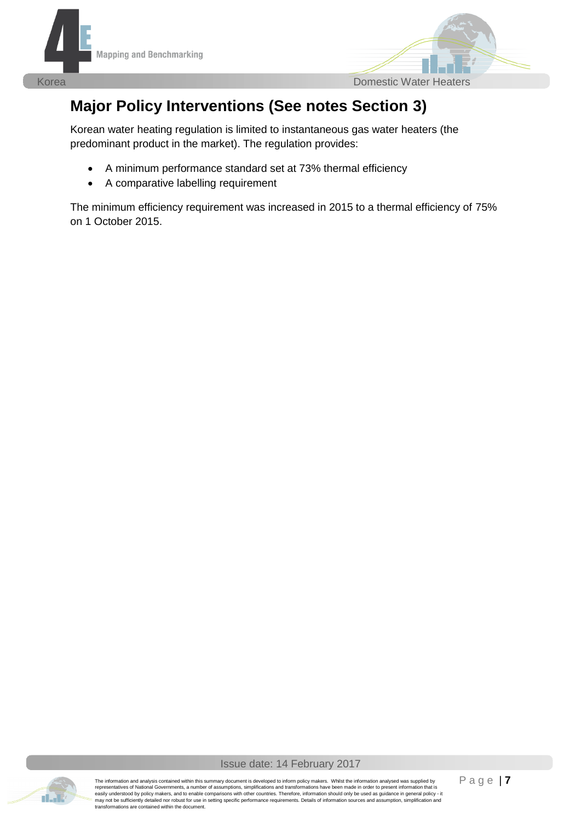![](_page_6_Picture_0.jpeg)

![](_page_6_Picture_1.jpeg)

# **Major Policy Interventions (See notes Section 3)**

Korean water heating regulation is limited to instantaneous gas water heaters (the predominant product in the market). The regulation provides:

- A minimum performance standard set at 73% thermal efficiency
- A comparative labelling requirement

The minimum efficiency requirement was increased in 2015 to a thermal efficiency of 75% on 1 October 2015.

![](_page_6_Picture_7.jpeg)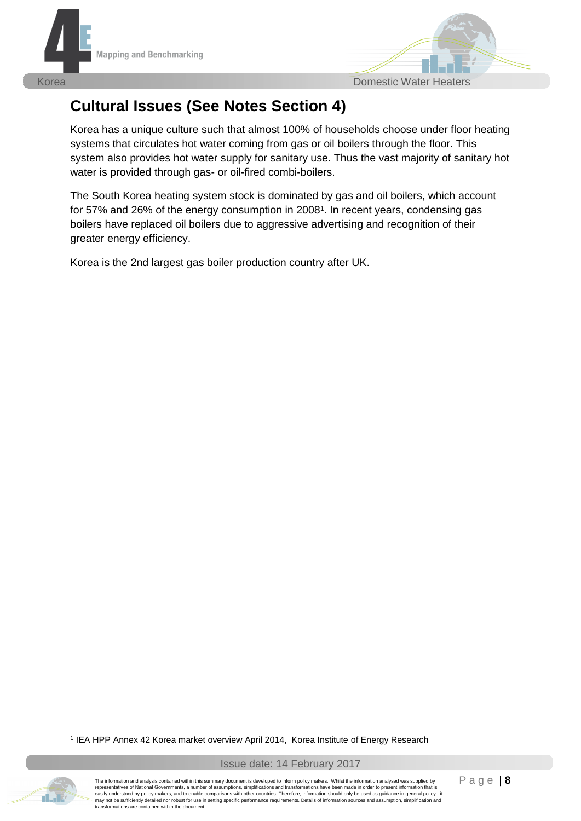![](_page_7_Picture_0.jpeg)

![](_page_7_Picture_1.jpeg)

# **Cultural Issues (See Notes Section 4)**

Korea has a unique culture such that almost 100% of households choose under floor heating systems that circulates hot water coming from gas or oil boilers through the floor. This system also provides hot water supply for sanitary use. Thus the vast majority of sanitary hot water is provided through gas- or oil-fired combi-boilers.

The South Korea heating system stock is dominated by gas and oil boilers, which account for 57% and 26% of the energy consumption in 2008<sup>1</sup>. In recent years, condensing gas boilers have replaced oil boilers due to aggressive advertising and recognition of their greater energy efficiency.

Korea is the 2nd largest gas boiler production country after UK.

1 IEA HPP Annex 42 Korea market overview April 2014, Korea Institute of Energy Research

![](_page_7_Picture_8.jpeg)

-

The information and analysis contained within this summary document is developed to inform policy makers. Whilst the information analysed was supplied by P a g e | **8** representatives of National Governments, a number of assumptions, simplifications and transformations have been made in order to present information that is easily understood by policy makers, and to enable comparisons with other countries. Therefore, information should only be used as guidance in general policy - it may not be sufficiently detailed nor robust for use in setting specific performance requirements. Details of information sources and assumption, simplification and transformations are contained within the document.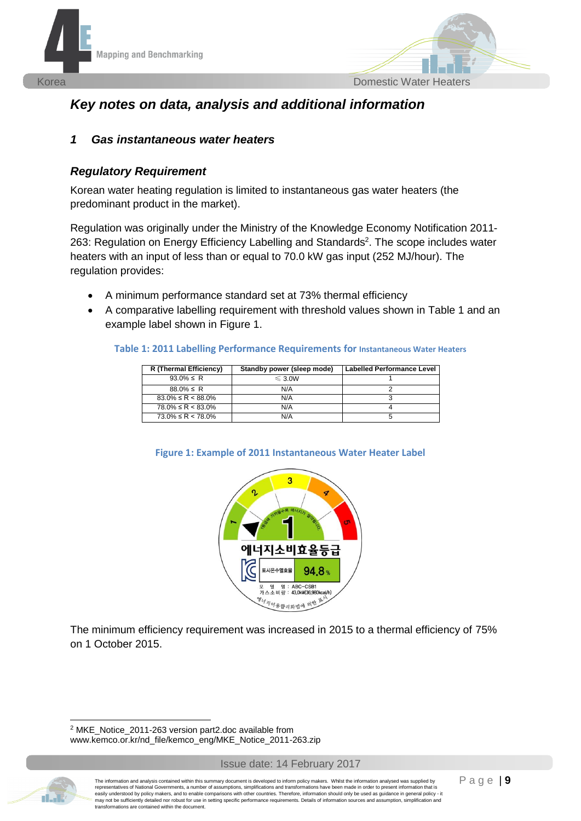![](_page_8_Picture_0.jpeg)

![](_page_8_Picture_1.jpeg)

## *Key notes on data, analysis and additional information*

#### *1 Gas instantaneous water heaters*

#### *Regulatory Requirement*

Korean water heating regulation is limited to instantaneous gas water heaters (the predominant product in the market).

Regulation was originally under the Ministry of the Knowledge Economy Notification 2011- 263: Regulation on Energy Efficiency Labelling and Standards<sup>2</sup>. The scope includes water heaters with an input of less than or equal to 70.0 kW gas input (252 MJ/hour). The regulation provides:

- A minimum performance standard set at 73% thermal efficiency
- <span id="page-8-0"></span> A comparative labelling requirement with threshold values shown in [Table 1](#page-8-0) and an example label shown in [Figure 1.](#page-8-1)

#### **Table 1: 2011 Labelling Performance Requirements for Instantaneous Water Heaters**

| R (Thermal Efficiency)      | Standby power (sleep mode) | <b>Labelled Performance Level</b> |
|-----------------------------|----------------------------|-----------------------------------|
| $93.0\% \leq R$             | $\leq 3.0W$                |                                   |
| $88.0\% \leq R$             | N/A                        |                                   |
| $83.0\% \leq R \leq 88.0\%$ | N/A                        |                                   |
| $78.0\% \leq R \leq 83.0\%$ | N/A                        |                                   |
| $73.0\% \leq R \leq 78.0\%$ | N/A                        |                                   |

![](_page_8_Figure_11.jpeg)

#### <span id="page-8-1"></span>**Figure 1: Example of 2011 Instantaneous Water Heater Label**

The minimum efficiency requirement was increased in 2015 to a thermal efficiency of 75% on 1 October 2015.

-<sup>2</sup> MKE\_Notice\_2011-263 version part2.doc available from www.kemco.or.kr/nd\_file/kemco\_eng/MKE\_Notice\_2011-263.zip

![](_page_8_Picture_16.jpeg)

The information and analysis contained within this summary document is developed to inform policy makers. Whilst the information analysed was supplied by P a g e | **9** representatives of National Governments, a number of assumptions, simplifications and transformations have been made in order to present information that is representatives of national suverthriestics, a number of assumptions) simplications and using the maker of the<br>reasily understood by policy makers, and to enable comparisons with other countries. Therefore, information sho may not be sufficiently detailed nor robust for use in setting specific performance requirements. Details of information sources and assumption, simplification and transformations are contained within the document.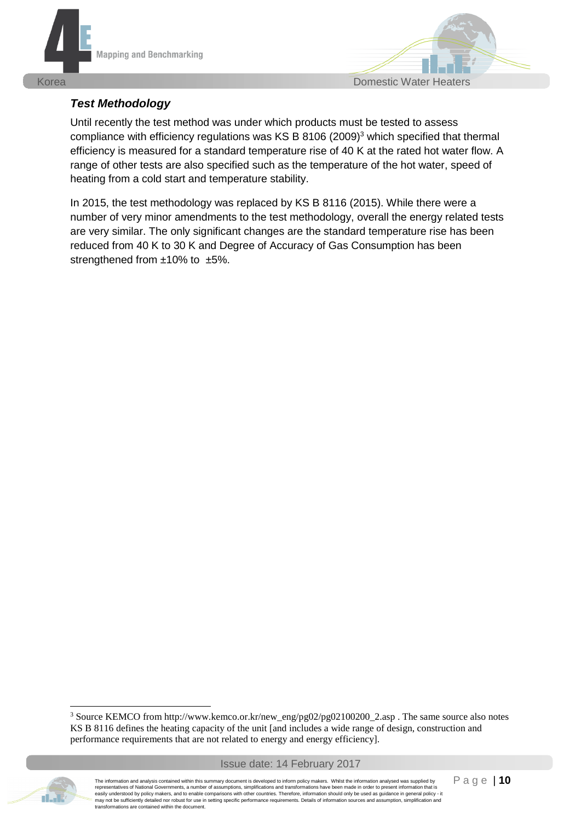![](_page_9_Picture_0.jpeg)

![](_page_9_Picture_1.jpeg)

### *Test Methodology*

Until recently the test method was under which products must be tested to assess compliance with efficiency regulations was KS B 8106 (2009)<sup>3</sup> which specified that thermal efficiency is measured for a standard temperature rise of 40 K at the rated hot water flow. A range of other tests are also specified such as the temperature of the hot water, speed of heating from a cold start and temperature stability.

In 2015, the test methodology was replaced by KS B 8116 (2015). While there were a number of very minor amendments to the test methodology, overall the energy related tests are very similar. The only significant changes are the standard temperature rise has been reduced from 40 K to 30 K and Degree of Accuracy of Gas Consumption has been strengthened from ±10% to ±5%.

![](_page_9_Picture_7.jpeg)

-

The information and analysis contained within this summary document is developed to inform policy makers. Whilst the information analysed was supplied by  $\mathsf{Pa}$  q e  $\textsf{10}$ representatives of National Governments, a number of assumptions, simplifications and transformations have been made in order to present information that is easily understood by policy makers, and to enable comparisons with other countries. Therefore, information should only be used as guidance in general policy - it may not be sufficiently detailed nor robust for use in setting specific performance requirements. Details of information sources and assumption, simplification and transformations are contained within the document.

<sup>&</sup>lt;sup>3</sup> Source KEMCO from http://www.kemco.or.kr/new\_eng/pg02/pg02100200\_2.asp . The same source also notes KS B 8116 defines the heating capacity of the unit [and includes a wide range of design, construction and performance requirements that are not related to energy and energy efficiency].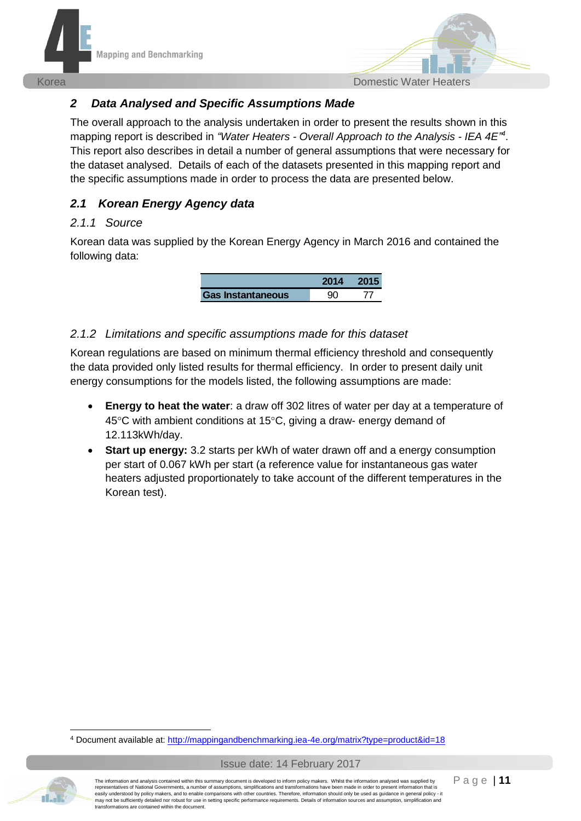![](_page_10_Picture_0.jpeg)

![](_page_10_Picture_1.jpeg)

### *2 Data Analysed and Specific Assumptions Made*

The overall approach to the analysis undertaken in order to present the results shown in this mapping report is described in *"Water Heaters - Overall Approach to the Analysis - IEA 4E" 4* . This report also describes in detail a number of general assumptions that were necessary for the dataset analysed. Details of each of the datasets presented in this mapping report and the specific assumptions made in order to process the data are presented below.

### *2.1 Korean Energy Agency data*

#### *2.1.1 Source*

Korean data was supplied by the Korean Energy Agency in March 2016 and contained the following data:

|                          | 2014 |  |
|--------------------------|------|--|
| <b>Gas Instantaneous</b> |      |  |

#### *2.1.2 Limitations and specific assumptions made for this dataset*

Korean regulations are based on minimum thermal efficiency threshold and consequently the data provided only listed results for thermal efficiency. In order to present daily unit energy consumptions for the models listed, the following assumptions are made:

- **Energy to heat the water**: a draw off 302 litres of water per day at a temperature of 45 $\degree$ C with ambient conditions at 15 $\degree$ C, giving a draw- energy demand of 12.113kWh/day.
- **Start up energy:** 3.2 starts per kWh of water drawn off and a energy consumption per start of 0.067 kWh per start (a reference value for instantaneous gas water heaters adjusted proportionately to take account of the different temperatures in the Korean test).

<sup>4</sup> Document available at:<http://mappingandbenchmarking.iea-4e.org/matrix?type=product&id=18>

![](_page_10_Picture_13.jpeg)

![](_page_10_Picture_14.jpeg)

-

The information and analysis contained within this summary document is developed to inform policy makers. Whilst the information analysed was supplied by  $\mathsf{P}\,$  a  $\mathsf{q}\,$   $\mathsf{e}$  | 11 representatives of National Governments, a number of assumptions, simplifications and transformations have been made in order to present information that is easily understood by policy makers, and to enable comparisons with other countries. Therefore, information should only be used as guidance in general policy - it may not be sufficiently detailed nor robust for use in setting specific performance requirements. Details of information sources and assumption, simplification and transformations are contained within the document.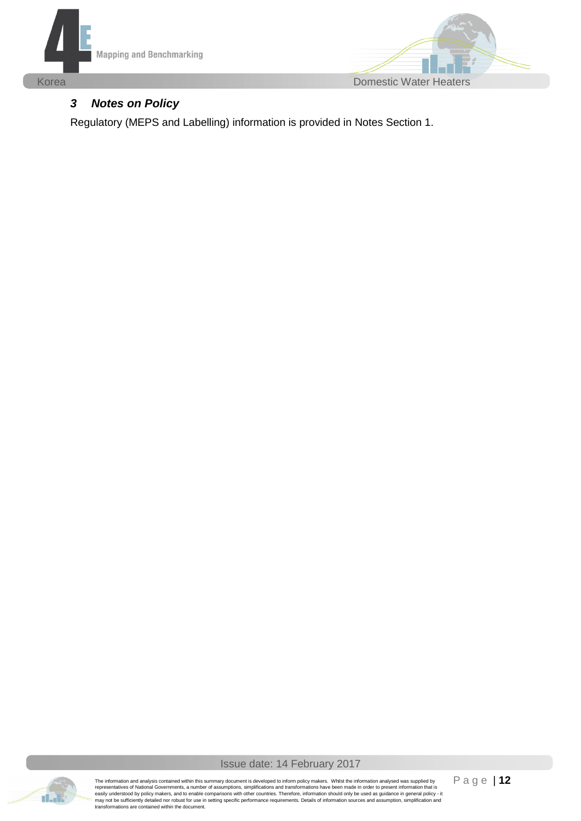![](_page_11_Picture_0.jpeg)

![](_page_11_Picture_1.jpeg)

## *3 Notes on Policy*

Regulatory (MEPS and Labelling) information is provided in Notes Section 1.

![](_page_11_Picture_4.jpeg)

Issue date: 14 February 2017

The information and analysis contained within this summary document is developed to inform policy makers. Whilst the information analysed was supplied by<br>representatives of National Governments, a number of assumptions, s